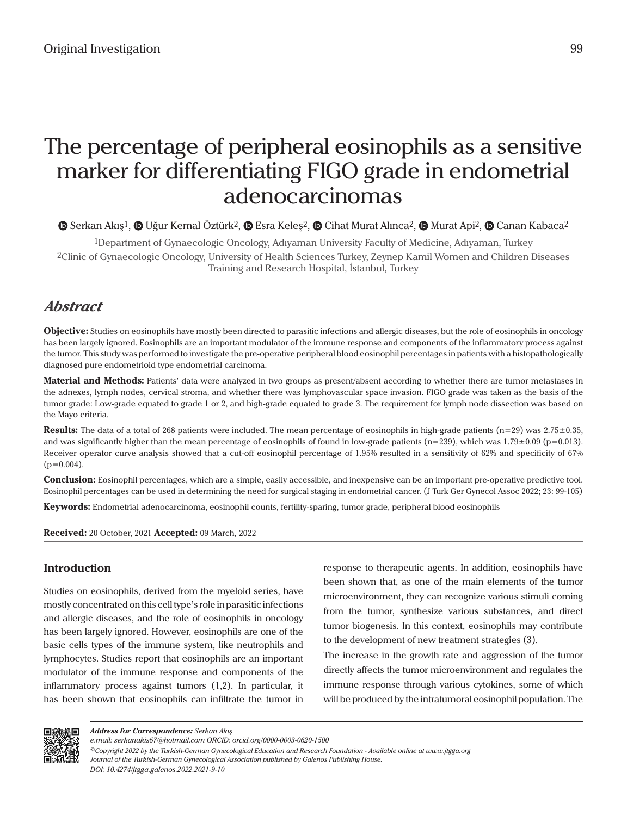# The percentage of peripheral eosinophils as a sensitive marker for differentiating FIGO grade in endometrial adenocarcinomas

## $\bullet$ Serkan Akış<sup>1</sup>,  $\bullet$  Uğur Kemal Öztürk<sup>2</sup>,  $\bullet$  Esra Keleş<sup>2</sup>,  $\bullet$  Cihat Murat Alınca<sup>2</sup>,  $\bullet$  Murat Api<sup>2</sup>,  $\bullet$  Canan Kabaca<sup>2</sup>

1Department of Gynaecologic Oncology, Adıyaman University Faculty of Medicine, Adıyaman, Turkey 2Clinic of Gynaecologic Oncology, University of Health Sciences Turkey, Zeynep Kamil Women and Children Diseases Training and Research Hospital, İstanbul, Turkey

# *Abstract*

**Objective:** Studies on eosinophils have mostly been directed to parasitic infections and allergic diseases, but the role of eosinophils in oncology has been largely ignored. Eosinophils are an important modulator of the immune response and components of the inflammatory process against the tumor. This study was performed to investigate the pre-operative peripheral blood eosinophil percentages in patients with a histopathologically diagnosed pure endometrioid type endometrial carcinoma.

**Material and Methods:** Patients' data were analyzed in two groups as present/absent according to whether there are tumor metastases in the adnexes, lymph nodes, cervical stroma, and whether there was lymphovascular space invasion. FIGO grade was taken as the basis of the tumor grade: Low-grade equated to grade 1 or 2, and high-grade equated to grade 3. The requirement for lymph node dissection was based on the Mayo criteria.

**Results:** The data of a total of 268 patients were included. The mean percentage of eosinophils in high-grade patients (n=29) was 2.75±0.35, and was significantly higher than the mean percentage of eosinophils of found in low-grade patients ( $n=239$ ), which was 1.79 $\pm$ 0.09 ( $p=0.013$ ). Receiver operator curve analysis showed that a cut-off eosinophil percentage of 1.95% resulted in a sensitivity of 62% and specificity of 67%  $(p=0.004)$ .

**Conclusion:** Eosinophil percentages, which are a simple, easily accessible, and inexpensive can be an important pre-operative predictive tool. Eosinophil percentages can be used in determining the need for surgical staging in endometrial cancer. (J Turk Ger Gynecol Assoc 2022; 23: 99-105)

**Keywords:** Endometrial adenocarcinoma, eosinophil counts, fertility-sparing, tumor grade, peripheral blood eosinophils

**Received:** 20 October, 2021 **Accepted:** 09 March, 2022

### **Introduction**

Studies on eosinophils, derived from the myeloid series, have mostly concentrated on this cell type's role in parasitic infections and allergic diseases, and the role of eosinophils in oncology has been largely ignored. However, eosinophils are one of the basic cells types of the immune system, like neutrophils and lymphocytes. Studies report that eosinophils are an important modulator of the immune response and components of the inflammatory process against tumors (1,2). In particular, it has been shown that eosinophils can infiltrate the tumor in response to therapeutic agents. In addition, eosinophils have been shown that, as one of the main elements of the tumor microenvironment, they can recognize various stimuli coming from the tumor, synthesize various substances, and direct tumor biogenesis. In this context, eosinophils may contribute to the development of new treatment strategies (3).

The increase in the growth rate and aggression of the tumor directly affects the tumor microenvironment and regulates the immune response through various cytokines, some of which will be produced by the intratumoral eosinophil population. The



*Address for Correspondence: Serkan Akış*

*e.mail: serkanakis67@hotmail.com ORCID: orcid.org/0000-0003-0620-1500*

*<sup>©</sup>Copyright 2022 by the Turkish-German Gynecological Education and Research Foundation - Available online at www.jtgga.org Journal of the Turkish-German Gynecological Association published by Galenos Publishing House. DOI: 10.4274/jtgga.galenos.2022.2021-9-10*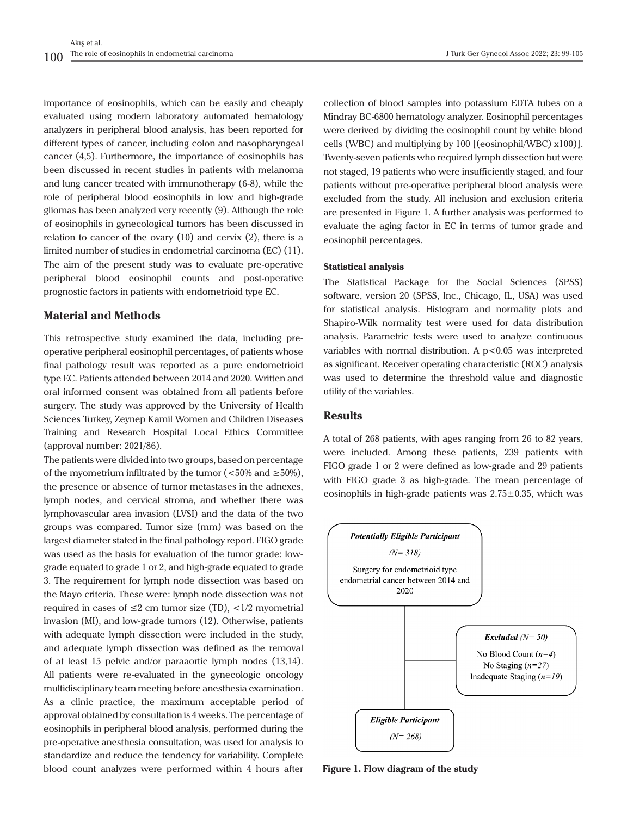importance of eosinophils, which can be easily and cheaply evaluated using modern laboratory automated hematology analyzers in peripheral blood analysis, has been reported for different types of cancer, including colon and nasopharyngeal cancer (4,5). Furthermore, the importance of eosinophils has been discussed in recent studies in patients with melanoma and lung cancer treated with immunotherapy (6-8), while the role of peripheral blood eosinophils in low and high-grade gliomas has been analyzed very recently (9). Although the role of eosinophils in gynecological tumors has been discussed in relation to cancer of the ovary (10) and cervix (2), there is a limited number of studies in endometrial carcinoma (EC) (11). The aim of the present study was to evaluate pre-operative peripheral blood eosinophil counts and post-operative prognostic factors in patients with endometrioid type EC.

#### **Material and Methods**

This retrospective study examined the data, including preoperative peripheral eosinophil percentages, of patients whose final pathology result was reported as a pure endometrioid type EC. Patients attended between 2014 and 2020. Written and oral informed consent was obtained from all patients before surgery. The study was approved by the University of Health Sciences Turkey, Zeynep Kamil Women and Children Diseases Training and Research Hospital Local Ethics Committee (approval number: 2021/86).

The patients were divided into two groups, based on percentage of the myometrium infiltrated by the tumor ( $\langle 50\% \text{ and } \geq 50\% \rangle$ ), the presence or absence of tumor metastases in the adnexes, lymph nodes, and cervical stroma, and whether there was lymphovascular area invasion (LVSI) and the data of the two groups was compared. Tumor size (mm) was based on the largest diameter stated in the final pathology report. FIGO grade was used as the basis for evaluation of the tumor grade: lowgrade equated to grade 1 or 2, and high-grade equated to grade 3. The requirement for lymph node dissection was based on the Mayo criteria. These were: lymph node dissection was not required in cases of  $\leq 2$  cm tumor size (TD),  $\lt 1/2$  myometrial invasion (MI), and low-grade tumors (12). Otherwise, patients with adequate lymph dissection were included in the study, and adequate lymph dissection was defined as the removal of at least 15 pelvic and/or paraaortic lymph nodes (13,14). All patients were re-evaluated in the gynecologic oncology multidisciplinary team meeting before anesthesia examination. As a clinic practice, the maximum acceptable period of approval obtained by consultation is 4 weeks. The percentage of eosinophils in peripheral blood analysis, performed during the pre-operative anesthesia consultation, was used for analysis to standardize and reduce the tendency for variability. Complete blood count analyzes were performed within 4 hours after

collection of blood samples into potassium EDTA tubes on a Mindray BC-6800 hematology analyzer. Eosinophil percentages were derived by dividing the eosinophil count by white blood cells (WBC) and multiplying by 100 [(eosinophil/WBC) x100)]. Twenty-seven patients who required lymph dissection but were not staged, 19 patients who were insufficiently staged, and four patients without pre-operative peripheral blood analysis were excluded from the study. All inclusion and exclusion criteria are presented in Figure 1. A further analysis was performed to evaluate the aging factor in EC in terms of tumor grade and eosinophil percentages.

#### **Statistical analysis**

The Statistical Package for the Social Sciences (SPSS) software, version 20 (SPSS, Inc., Chicago, IL, USA) was used for statistical analysis. Histogram and normality plots and Shapiro-Wilk normality test were used for data distribution analysis. Parametric tests were used to analyze continuous variables with normal distribution. A  $p < 0.05$  was interpreted as significant. Receiver operating characteristic (ROC) analysis was used to determine the threshold value and diagnostic utility of the variables.

#### **Results**

A total of 268 patients, with ages ranging from 26 to 82 years, were included. Among these patients, 239 patients with FIGO grade 1 or 2 were defined as low-grade and 29 patients with FIGO grade 3 as high-grade. The mean percentage of eosinophils in high-grade patients was  $2.75\pm0.35$ , which was



**Figure 1. Flow diagram of the study**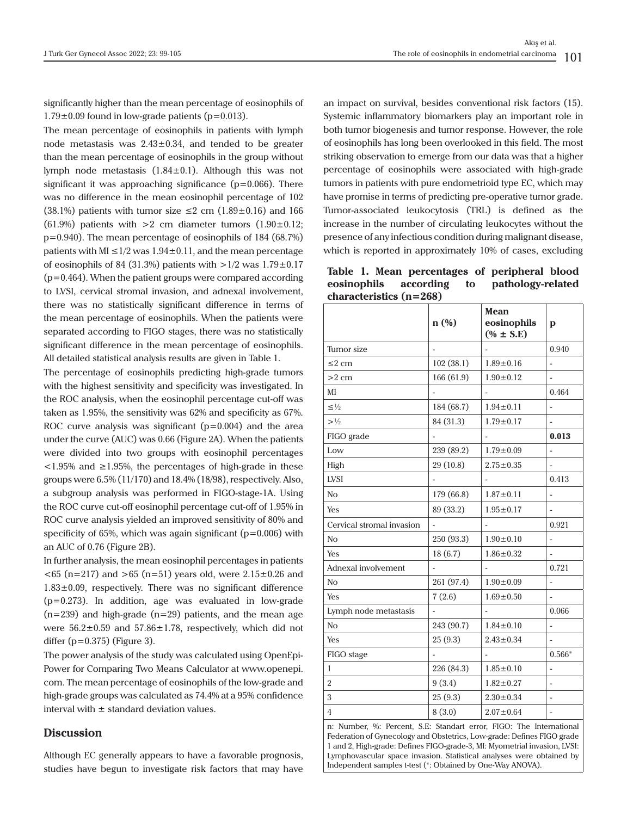significantly higher than the mean percentage of eosinophils of  $1.79\pm0.09$  found in low-grade patients (p=0.013).

The mean percentage of eosinophils in patients with lymph node metastasis was  $2.43 \pm 0.34$ , and tended to be greater than the mean percentage of eosinophils in the group without lymph node metastasis  $(1.84 \pm 0.1)$ . Although this was not significant it was approaching significance  $(p=0.066)$ . There was no difference in the mean eosinophil percentage of 102 (38.1%) patients with tumor size  $\leq 2$  cm (1.89 $\pm$ 0.16) and 166 (61.9%) patients with  $>2$  cm diameter tumors (1.90 $\pm$ 0.12; p=0.940). The mean percentage of eosinophils of 184 (68.7%) patients with MI  $\leq$  1/2 was 1.94 $\pm$ 0.11, and the mean percentage of eosinophils of 84 (31.3%) patients with  $>1/2$  was 1.79 $\pm$ 0.17 (p=0.464). When the patient groups were compared according to LVSI, cervical stromal invasion, and adnexal involvement, there was no statistically significant difference in terms of the mean percentage of eosinophils. When the patients were separated according to FIGO stages, there was no statistically significant difference in the mean percentage of eosinophils. All detailed statistical analysis results are given in Table 1.

The percentage of eosinophils predicting high-grade tumors with the highest sensitivity and specificity was investigated. In the ROC analysis, when the eosinophil percentage cut-off was taken as 1.95%, the sensitivity was 62% and specificity as 67%. ROC curve analysis was significant (p=0.004) and the area under the curve (AUC) was 0.66 (Figure 2A). When the patients were divided into two groups with eosinophil percentages  $\langle 1.95\% \rangle$  and  $\geq 1.95\%$ , the percentages of high-grade in these groups were 6.5% (11/170) and 18.4% (18/98), respectively. Also, a subgroup analysis was performed in FIGO-stage-1A. Using the ROC curve cut-off eosinophil percentage cut-off of 1.95% in ROC curve analysis yielded an improved sensitivity of 80% and specificity of 65%, which was again significant ( $p=0.006$ ) with an AUC of 0.76 (Figure 2B).

In further analysis, the mean eosinophil percentages in patients  $<$  65 (n=217) and > 65 (n=51) years old, were 2.15 $\pm$ 0.26 and  $1.83\pm0.09$ , respectively. There was no significant difference (p=0.273). In addition, age was evaluated in low-grade  $(n=239)$  and high-grade  $(n=29)$  patients, and the mean age were  $56.2 \pm 0.59$  and  $57.86 \pm 1.78$ , respectively, which did not differ  $(p=0.375)$  (Figure 3).

The power analysis of the study was calculated using OpenEpi-Power for Comparing Two Means Calculator at www.openepi. com. The mean percentage of eosinophils of the low-grade and high-grade groups was calculated as 74.4% at a 95% confidence interval with  $\pm$  standard deviation values.

#### **Discussion**

Although EC generally appears to have a favorable prognosis, studies have begun to investigate risk factors that may have

an impact on survival, besides conventional risk factors (15). Systemic inflammatory biomarkers play an important role in both tumor biogenesis and tumor response. However, the role of eosinophils has long been overlooked in this field. The most striking observation to emerge from our data was that a higher percentage of eosinophils were associated with high-grade tumors in patients with pure endometrioid type EC, which may have promise in terms of predicting pre-operative tumor grade. Tumor-associated leukocytosis (TRL) is defined as the increase in the number of circulating leukocytes without the presence of any infectious condition during malignant disease, which is reported in approximately 10% of cases, excluding

**Table 1. Mean percentages of peripheral blood eosinophils according to pathology-related characteristics (n=268)**

|                           | n(%)           | <b>Mean</b><br>eosinophils<br>$(% 1,2)$ (% ± S.E) | p        |
|---------------------------|----------------|---------------------------------------------------|----------|
| Tumor size                |                |                                                   | 0.940    |
| $\leq$ 2 cm               | 102 (38.1)     | $1.89 \pm 0.16$                                   |          |
| $>2$ cm                   | 166 (61.9)     | $1.90 \pm 0.12$                                   |          |
| MI                        |                |                                                   | 0.464    |
| $\leq \frac{1}{2}$        | 184 (68.7)     | $1.94 \pm 0.11$                                   | ٠        |
| >1/2                      | 84 (31.3)      | $1.79 \pm 0.17$                                   |          |
| FIGO grade                |                |                                                   | 0.013    |
| Low                       | 239 (89.2)     | $1.79 \pm 0.09$                                   | ٠        |
| High                      | 29 (10.8)      | $2.75 \pm 0.35$                                   |          |
| <b>LVSI</b>               |                |                                                   | 0.413    |
| N <sub>o</sub>            | 179 (66.8)     | $1.87 \pm 0.11$                                   | ÷,       |
| Yes                       | 89 (33.2)      | $1.95 \pm 0.17$                                   |          |
| Cervical stromal invasion |                |                                                   | 0.921    |
| N <sub>o</sub>            | 250 (93.3)     | $1.90 \pm 0.10$                                   | ÷,       |
| Yes                       | 18(6.7)        | $1.86 \pm 0.32$                                   | ÷,       |
| Adnexal involvement       |                |                                                   | 0.721    |
| N <sub>O</sub>            | 261 (97.4)     | $1.90 \pm 0.09$                                   | ÷,       |
| <b>Yes</b>                | 7(2.6)         | $1.69 \pm 0.50$                                   |          |
| Lymph node metastasis     |                |                                                   | 0.066    |
| N <sub>o</sub>            | 243 (90.7)     | $1.84 \pm 0.10$                                   |          |
| Yes                       | 25(9.3)        | $2.43 \pm 0.34$                                   |          |
| FIGO stage                | $\overline{a}$ | $\overline{a}$                                    | $0.566*$ |
| 1                         | 226 (84.3)     | $1.85 \pm 0.10$                                   |          |
| $\overline{2}$            | 9(3.4)         | $1.82 \pm 0.27$                                   | ÷        |
| 3                         | 25(9.3)        | $2.30 \pm 0.34$                                   | ÷,       |
| 4                         | 8(3.0)         | $2.07 \pm 0.64$                                   |          |

n: Number, %: Percent, S.E: Standart error, FIGO: The International Federation of Gynecology and Obstetrics, Low-grade: Defines FIGO grade 1 and 2, High-grade: Defines FIGO-grade-3, MI: Myometrial invasion, LVSI: Lymphovascular space invasion. Statistical analyses were obtained by Independent samples t-test (\*: Obtained by One-Way ANOVA).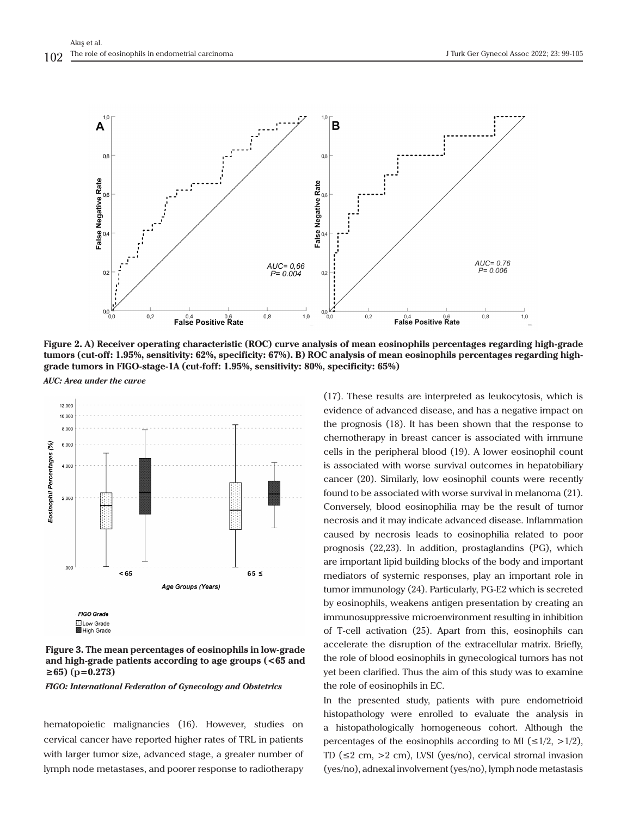

**Figure 2. A) Receiver operating characteristic (ROC) curve analysis of mean eosinophils percentages regarding high-grade tumors (cut-off: 1.95%, sensitivity: 62%, specificity: 67%). B) ROC analysis of mean eosinophils percentages regarding highgrade tumors in FIGO-stage-1A (cut-foff: 1.95%, sensitivity: 80%, specificity: 65%)** *AUC: Area under the curve*



**Figure 3. The mean percentages of eosinophils in low-grade and high-grade patients according to age groups (<65 and ≥65) (p=0.273)**

*FIGO: International Federation of Gynecology and Obstetrics*

hematopoietic malignancies (16). However, studies on cervical cancer have reported higher rates of TRL in patients with larger tumor size, advanced stage, a greater number of lymph node metastases, and poorer response to radiotherapy

(17). These results are interpreted as leukocytosis, which is evidence of advanced disease, and has a negative impact on the prognosis (18). It has been shown that the response to chemotherapy in breast cancer is associated with immune cells in the peripheral blood (19). A lower eosinophil count is associated with worse survival outcomes in hepatobiliary cancer (20). Similarly, low eosinophil counts were recently found to be associated with worse survival in melanoma (21). Conversely, blood eosinophilia may be the result of tumor necrosis and it may indicate advanced disease. Inflammation caused by necrosis leads to eosinophilia related to poor prognosis (22,23). In addition, prostaglandins (PG), which are important lipid building blocks of the body and important mediators of systemic responses, play an important role in tumor immunology (24). Particularly, PG-E2 which is secreted by eosinophils, weakens antigen presentation by creating an immunosuppressive microenvironment resulting in inhibition of T-cell activation (25). Apart from this, eosinophils can accelerate the disruption of the extracellular matrix. Briefly, the role of blood eosinophils in gynecological tumors has not yet been clarified. Thus the aim of this study was to examine the role of eosinophils in EC.

In the presented study, patients with pure endometrioid histopathology were enrolled to evaluate the analysis in a histopathologically homogeneous cohort. Although the percentages of the eosinophils according to MI ( $\leq 1/2$ ,  $>1/2$ ), TD (≤2 cm, >2 cm), LVSI (yes/no), cervical stromal invasion (yes/no), adnexal involvement (yes/no), lymph node metastasis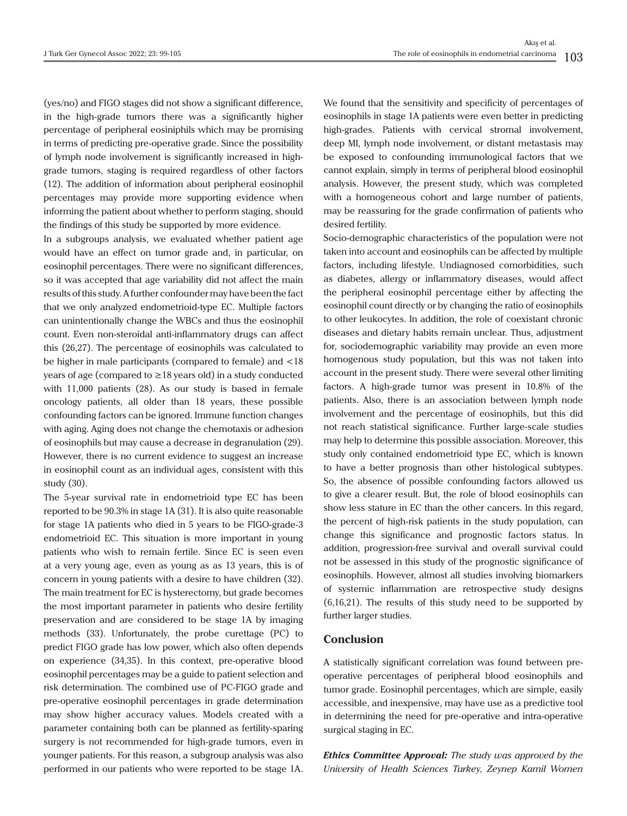(yes/no) and FIGO stages did not show a significant difference, in the high-grade tumors there was a significantly higher percentage of peripheral eosiniphils which may be promising in terms of predicting pre-operative grade. Since the possibility of lymph node involvement is significantly increased in highgrade tumors, staging is required regardless of other factors (12). The addition of information about peripheral eosinophil percentages may provide more supporting evidence when informing the patient about whether to perform staging, should the findings of this study be supported by more evidence.

In a subgroups analysis, we evaluated whether patient age would have an effect on tumor grade and, in particular, on eosinophil percentages. There were no significant differences, so it was accepted that age variability did not affect the main results of this study. A further confounder may have been the fact that we only analyzed endometrioid-type EC. Multiple factors can unintentionally change the WBCs and thus the eosinophil count. Even non-steroidal anti-inflammatory drugs can affect this (26,27). The percentage of eosinophils was calculated to be higher in male participants (compared to female) and <18 years of age (compared to ≥18 years old) in a study conducted with 11,000 patients (28). As our study is based in female oncology patients, all older than 18 years, these possible confounding factors can be ignored. Immune function changes with aging. Aging does not change the chemotaxis or adhesion of eosinophils but may cause a decrease in degranulation (29). However, there is no current evidence to suggest an increase in eosinophil count as an individual ages, consistent with this study (30).

The 5-year survival rate in endometrioid type EC has been reported to be 90.3% in stage 1A (31). It is also quite reasonable for stage 1A patients who died in 5 years to be FIGO-grade-3 endometrioid EC. This situation is more important in young patients who wish to remain fertile. Since EC is seen even at a very young age, even as young as as 13 years, this is of concern in young patients with a desire to have children (32). The main treatment for EC is hysterectomy, but grade becomes the most important parameter in patients who desire fertility preservation and are considered to be stage 1A by imaging methods (33). Unfortunately, the probe curettage (PC) to predict FIGO grade has low power, which also often depends on experience (34,35). In this context, pre-operative blood eosinophil percentages may be a guide to patient selection and risk determination. The combined use of PC-FIGO grade and pre-operative eosinophil percentages in grade determination may show higher accuracy values. Models created with a parameter containing both can be planned as fertility-sparing surgery is not recommended for high-grade tumors, even in younger patients. For this reason, a subgroup analysis was also performed in our patients who were reported to be stage 1A.

We found that the sensitivity and specificity of percentages of eosinophils in stage 1A patients were even better in predicting high-grades. Patients with cervical stromal involvement, deep MI, lymph node involvement, or distant metastasis may be exposed to confounding immunological factors that we cannot explain, simply in terms of peripheral blood eosinophil analysis. However, the present study, which was completed with a homogeneous cohort and large number of patients, may be reassuring for the grade confirmation of patients who desired fertility.

Socio-demographic characteristics of the population were not taken into account and eosinophils can be affected by multiple factors, including lifestyle. Undiagnosed comorbidities, such as diabetes, allergy or inflammatory diseases, would affect the peripheral eosinophil percentage either by affecting the eosinophil count directly or by changing the ratio of eosinophils to other leukocytes. In addition, the role of coexistant chronic diseases and dietary habits remain unclear. Thus, adjustment for, sociodemographic variability may provide an even more homogenous study population, but this was not taken into account in the present study. There were several other limiting factors. A high-grade tumor was present in 10.8% of the patients. Also, there is an association between lymph node involvement and the percentage of eosinophils, but this did not reach statistical significance. Further large-scale studies may help to determine this possible association. Moreover, this study only contained endometrioid type EC, which is known to have a better prognosis than other histological subtypes. So, the absence of possible confounding factors allowed us to give a clearer result. But, the role of blood eosinophils can show less stature in EC than the other cancers. In this regard, the percent of high-risk patients in the study population, can change this significance and prognostic factors status. In addition, progression-free survival and overall survival could not be assessed in this study of the prognostic significance of eosinophils. However, almost all studies involving biomarkers of systemic inflammation are retrospective study designs (6,16,21). The results of this study need to be supported by further larger studies.

#### **Conclusion**

A statistically significant correlation was found between preoperative percentages of peripheral blood eosinophils and tumor grade. Eosinophil percentages, which are simple, easily accessible, and inexpensive, may have use as a predictive tool in determining the need for pre-operative and intra-operative surgical staging in EC.

*Ethics Committee Approval: The study was approved by the University of Health Sciences Turkey, Zeynep Kamil Women*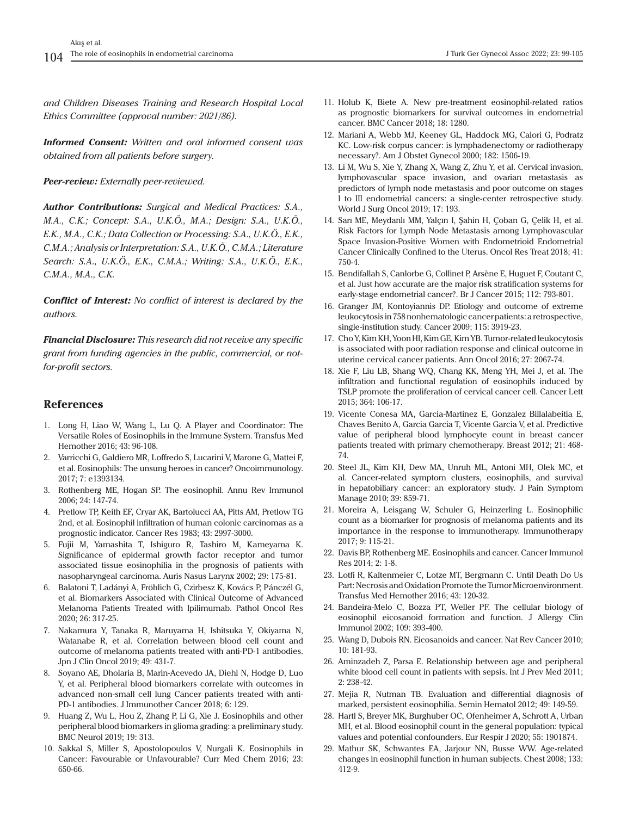*and Children Diseases Training and Research Hospital Local Ethics Committee (approval number: 2021/86).*

*Informed Consent: Written and oral informed consent was obtained from all patients before surgery.*

*Peer-review: Externally peer-reviewed.*

*Author Contributions: Surgical and Medical Practices: S.A., M.A., C.K.; Concept: S.A., U.K.Ö., M.A.; Design: S.A., U.K.Ö., E.K., M.A., C.K.; Data Collection or Processing: S.A., U.K.Ö., E.K., C.M.A.; Analysis or Interpretation: S.A., U.K.Ö., C.M.A.; Literature Search: S.A., U.K.Ö., E.K., C.M.A.; Writing: S.A., U.K.Ö., E.K., C.M.A., M.A., C.K.*

*Conflict of Interest: No conflict of interest is declared by the authors.*

*Financial Disclosure: This research did not receive any specific grant from funding agencies in the public, commercial, or notfor-profit sectors.*

#### **References**

- 1. Long H, Liao W, Wang L, Lu Q. A Player and Coordinator: The Versatile Roles of Eosinophils in the Immune System. Transfus Med Hemother 2016; 43: 96-108.
- 2. Varricchi G, Galdiero MR, Loffredo S, Lucarini V, Marone G, Mattei F, et al. Eosinophils: The unsung heroes in cancer? Oncoimmunology. 2017; 7: e1393134.
- 3. Rothenberg ME, Hogan SP. The eosinophil. Annu Rev Immunol 2006; 24: 147-74.
- 4. Pretlow TP, Keith EF, Cryar AK, Bartolucci AA, Pitts AM, Pretlow TG 2nd, et al. Eosinophil infiltration of human colonic carcinomas as a prognostic indicator. Cancer Res 1983; 43: 2997-3000.
- 5. Fujii M, Yamashita T, Ishiguro R, Tashiro M, Kameyama K. Significance of epidermal growth factor receptor and tumor associated tissue eosinophilia in the prognosis of patients with nasopharyngeal carcinoma. Auris Nasus Larynx 2002; 29: 175-81.
- 6. Balatoni T, Ladányi A, Fröhlich G, Czirbesz K, Kovács P, Pánczél G, et al. Biomarkers Associated with Clinical Outcome of Advanced Melanoma Patients Treated with Ipilimumab. Pathol Oncol Res 2020; 26: 317-25.
- 7. Nakamura Y, Tanaka R, Maruyama H, Ishitsuka Y, Okiyama N, Watanabe R, et al. Correlation between blood cell count and outcome of melanoma patients treated with anti-PD-1 antibodies. Jpn J Clin Oncol 2019; 49: 431-7.
- 8. Soyano AE, Dholaria B, Marin-Acevedo JA, Diehl N, Hodge D, Luo Y, et al. Peripheral blood biomarkers correlate with outcomes in advanced non-small cell lung Cancer patients treated with anti-PD-1 antibodies. J Immunother Cancer 2018; 6: 129.
- 9. Huang Z, Wu L, Hou Z, Zhang P, Li G, Xie J. Eosinophils and other peripheral blood biomarkers in glioma grading: a preliminary study. BMC Neurol 2019; 19: 313.
- 10. Sakkal S, Miller S, Apostolopoulos V, Nurgali K. Eosinophils in Cancer: Favourable or Unfavourable? Curr Med Chem 2016; 23: 650-66.
- 11. Holub K, Biete A. New pre-treatment eosinophil-related ratios as prognostic biomarkers for survival outcomes in endometrial cancer. BMC Cancer 2018; 18: 1280.
- 12. Mariani A, Webb MJ, Keeney GL, Haddock MG, Calori G, Podratz KC. Low-risk corpus cancer: is lymphadenectomy or radiotherapy necessary?. Am J Obstet Gynecol 2000; 182: 1506-19.
- 13. Li M, Wu S, Xie Y, Zhang X, Wang Z, Zhu Y, et al. Cervical invasion, lymphovascular space invasion, and ovarian metastasis as predictors of lymph node metastasis and poor outcome on stages I to III endometrial cancers: a single-center retrospective study. World J Surg Oncol 2019; 17: 193.
- 14. Sarı ME, Meydanlı MM, Yalçın I, Şahin H, Çoban G, Çelik H, et al. Risk Factors for Lymph Node Metastasis among Lymphovascular Space Invasion-Positive Women with Endometrioid Endometrial Cancer Clinically Confined to the Uterus. Oncol Res Treat 2018; 41: 750-4.
- 15. Bendifallah S, Canlorbe G, Collinet P, Arsène E, Huguet F, Coutant C, et al. Just how accurate are the major risk stratification systems for early-stage endometrial cancer?. Br J Cancer 2015; 112: 793-801.
- 16. Granger JM, Kontoyiannis DP. Etiology and outcome of extreme leukocytosis in 758 nonhematologic cancer patients: a retrospective, single-institution study. Cancer 2009; 115: 3919-23.
- 17. Cho Y, Kim KH, Yoon HI, Kim GE, Kim YB. Tumor-related leukocytosis is associated with poor radiation response and clinical outcome in uterine cervical cancer patients. Ann Oncol 2016; 27: 2067-74.
- 18. Xie F, Liu LB, Shang WQ, Chang KK, Meng YH, Mei J, et al. The infiltration and functional regulation of eosinophils induced by TSLP promote the proliferation of cervical cancer cell. Cancer Lett 2015; 364: 106-17.
- 19. Vicente Conesa MA, Garcia-Martinez E, Gonzalez Billalabeitia E, Chaves Benito A, Garcia Garcia T, Vicente Garcia V, et al. Predictive value of peripheral blood lymphocyte count in breast cancer patients treated with primary chemotherapy. Breast 2012; 21: 468- 74.
- 20. Steel JL, Kim KH, Dew MA, Unruh ML, Antoni MH, Olek MC, et al. Cancer-related symptom clusters, eosinophils, and survival in hepatobiliary cancer: an exploratory study. J Pain Symptom Manage 2010; 39: 859-71.
- 21. Moreira A, Leisgang W, Schuler G, Heinzerling L. Eosinophilic count as a biomarker for prognosis of melanoma patients and its importance in the response to immunotherapy. Immunotherapy 2017; 9: 115-21.
- 22. Davis BP, Rothenberg ME. Eosinophils and cancer. Cancer Immunol Res 2014; 2: 1-8.
- 23. Lotfi R, Kaltenmeier C, Lotze MT, Bergmann C. Until Death Do Us Part: Necrosis and Oxidation Promote the Tumor Microenvironment. Transfus Med Hemother 2016; 43: 120-32.
- 24. Bandeira-Melo C, Bozza PT, Weller PF. The cellular biology of eosinophil eicosanoid formation and function. J Allergy Clin Immunol 2002; 109: 393-400.
- 25. Wang D, Dubois RN. Eicosanoids and cancer. Nat Rev Cancer 2010; 10: 181-93.
- 26. Aminzadeh Z, Parsa E. Relationship between age and peripheral white blood cell count in patients with sepsis. Int J Prev Med 2011; 2: 238-42.
- 27. Mejia R, Nutman TB. Evaluation and differential diagnosis of marked, persistent eosinophilia. Semin Hematol 2012; 49: 149-59.
- 28. Hartl S, Breyer MK, Burghuber OC, Ofenheimer A, Schrott A, Urban MH, et al. Blood eosinophil count in the general population: typical values and potential confounders. Eur Respir J 2020; 55: 1901874.
- 29. Mathur SK, Schwantes EA, Jarjour NN, Busse WW. Age-related changes in eosinophil function in human subjects. Chest 2008; 133: 412-9.